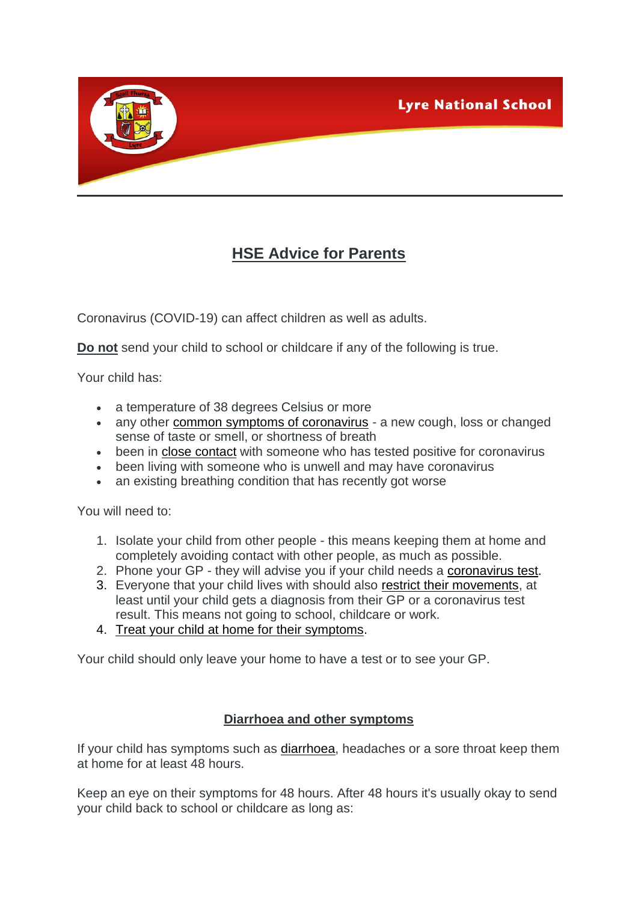



Coronavirus (COVID-19) can affect children as well as adults.

**Do not** send your child to school or childcare if any of the following is true.

Your child has:

- a temperature of 38 degrees Celsius or more
- any other [common symptoms of coronavirus](https://www2.hse.ie/conditions/coronavirus/symptoms.html) a new cough, loss or changed sense of taste or smell, or shortness of breath
- been in [close contact](https://www2.hse.ie/conditions/coronavirus/close-contact-and-casual-contact.html) with someone who has tested positive for coronavirus
- been living with someone who is unwell and may have coronavirus
- an existing breathing condition that has recently got worse

You will need to:

- 1. Isolate your child from other people this means keeping them at home and completely avoiding contact with other people, as much as possible.
- 2. Phone your GP they will advise you if your child needs a [coronavirus test.](https://www2.hse.ie/conditions/coronavirus/testing/how-to-get-tested.html)
- 3. Everyone that your child lives with should also [restrict their movements,](https://www2.hse.ie/conditions/coronavirus/managing-coronavirus-at-home/if-you-live-with-someone-who-has-coronavirus.html) at least until your child gets a diagnosis from their GP or a coronavirus test result. This means not going to school, childcare or work.
- 4. [Treat your child at home for their symptoms.](https://www2.hse.ie/conditions/coronavirus/managing-coronavirus-at-home/if-you-live-with-someone-who-has-coronavirus.html)

Your child should only leave your home to have a test or to see your GP.

### **Diarrhoea and other symptoms**

If your child has symptoms such as [diarrhoea,](https://www2.hse.ie/conditions/child-health/diarrhoea-in-babies-and-children/overview.html) headaches or a sore throat keep them at home for at least 48 hours.

Keep an eye on their symptoms for 48 hours. After 48 hours it's usually okay to send your child back to school or childcare as long as: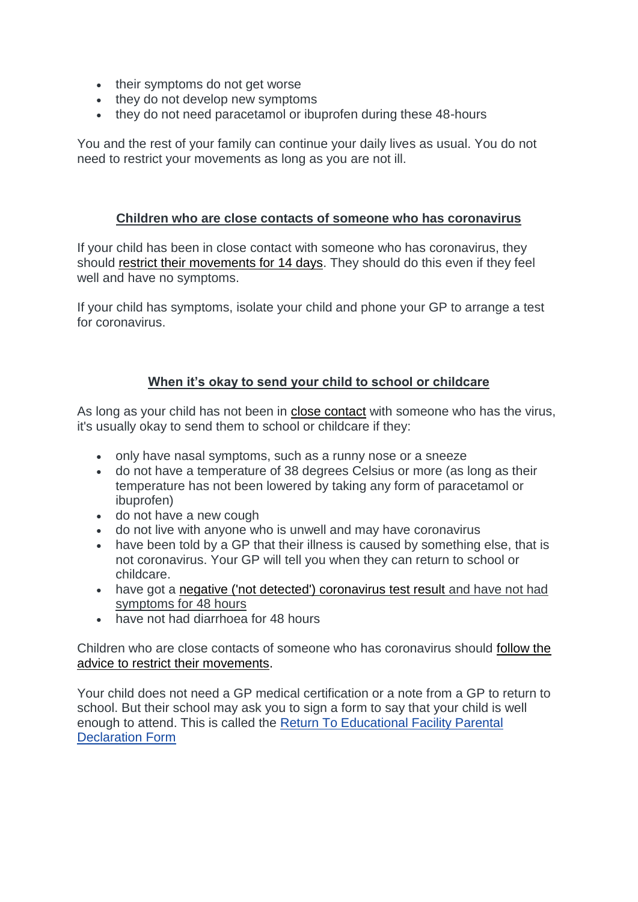- their symptoms do not get worse
- they do not develop new symptoms
- they do not need paracetamol or ibuprofen during these 48-hours

You and the rest of your family can continue your daily lives as usual. You do not need to restrict your movements as long as you are not ill.

### **Children who are close contacts of someone who has coronavirus**

If your child has been in close contact with someone who has coronavirus, they should [restrict their movements for 14 days.](https://www2.hse.ie/conditions/coronavirus/managing-coronavirus-at-home/if-you-live-with-someone-who-has-coronavirus.html) They should do this even if they feel well and have no symptoms.

If your child has symptoms, isolate your child and phone your GP to arrange a test for coronavirus.

## **When it's okay to send your child to school or childcare**

As long as your child has not been in [close contact](https://www2.hse.ie/conditions/coronavirus/close-contact-and-casual-contact.html) with someone who has the virus, it's usually okay to send them to school or childcare if they:

- only have nasal symptoms, such as a runny nose or a sneeze
- do not have a temperature of 38 degrees Celsius or more (as long as their temperature has not been lowered by taking any form of paracetamol or ibuprofen)
- do not have a new cough
- do not live with anyone who is unwell and may have coronavirus
- have been told by a GP that their illness is caused by something else, that is not coronavirus. Your GP will tell you when they can return to school or childcare.
- have got a [negative \('not detected'\) coronavirus test result](https://www2.hse.ie/conditions/coronavirus/if-your-child-has-symptoms.html#negative) and have not had symptoms for 48 hours
- have not had diarrhoea for 48 hours

Children who are close contacts of someone who has coronavirus should [follow the](https://www2.hse.ie/conditions/coronavirus/if-your-child-has-symptoms.html#contact)  [advice to restrict their movements.](https://www2.hse.ie/conditions/coronavirus/if-your-child-has-symptoms.html#contact)

Your child does not need a GP medical certification or a note from a GP to return to school. But their school may ask you to sign a form to say that your child is well enough to attend. This is called the Return To Educational Facility Parental Declaration Form